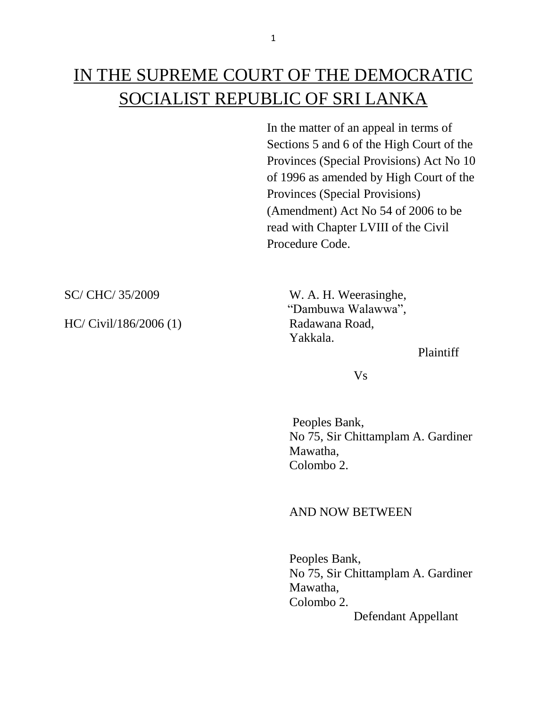# IN THE SUPREME COURT OF THE DEMOCRATIC SOCIALIST REPUBLIC OF SRI LANKA

In the matter of an appeal in terms of Sections 5 and 6 of the High Court of the Provinces (Special Provisions) Act No 10 of 1996 as amended by High Court of the Provinces (Special Provisions) (Amendment) Act No 54 of 2006 to be read with Chapter LVIII of the Civil Procedure Code.

HC/ Civil/186/2006 (1) Radawana Road,

SC/ CHC/ 35/2009 W. A. H. Weerasinghe, "Dambuwa Walawwa", Yakkala.

### Plaintiff

Vs

 Peoples Bank, No 75, Sir Chittamplam A. Gardiner Mawatha, Colombo 2.

## AND NOW BETWEEN

Peoples Bank, No 75, Sir Chittamplam A. Gardiner Mawatha, Colombo 2. Defendant Appellant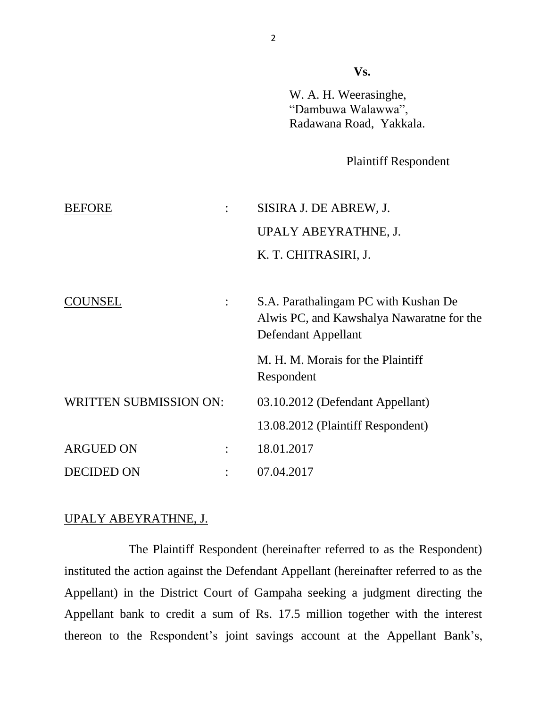**Vs.**

W. A. H. Weerasinghe, "Dambuwa Walawwa", Radawana Road, Yakkala.

Plaintiff Respondent

| <b>BEFORE</b>                 |                | SISIRA J. DE ABREW, J.                                                                                   |
|-------------------------------|----------------|----------------------------------------------------------------------------------------------------------|
|                               |                | UPALY ABEYRATHNE, J.                                                                                     |
|                               |                | K. T. CHITRASIRI, J.                                                                                     |
|                               |                |                                                                                                          |
| COUNSEL                       |                | S.A. Parathalingam PC with Kushan De<br>Alwis PC, and Kawshalya Nawaratne for the<br>Defendant Appellant |
|                               |                | M. H. M. Morais for the Plaintiff<br>Respondent                                                          |
| <b>WRITTEN SUBMISSION ON:</b> |                | 03.10.2012 (Defendant Appellant)                                                                         |
|                               |                | 13.08.2012 (Plaintiff Respondent)                                                                        |
| <b>ARGUED ON</b>              | $\ddot{\cdot}$ | 18.01.2017                                                                                               |
| <b>DECIDED ON</b>             |                | 07.04.2017                                                                                               |

# UPALY ABEYRATHNE, J.

The Plaintiff Respondent (hereinafter referred to as the Respondent) instituted the action against the Defendant Appellant (hereinafter referred to as the Appellant) in the District Court of Gampaha seeking a judgment directing the Appellant bank to credit a sum of Rs. 17.5 million together with the interest thereon to the Respondent's joint savings account at the Appellant Bank's,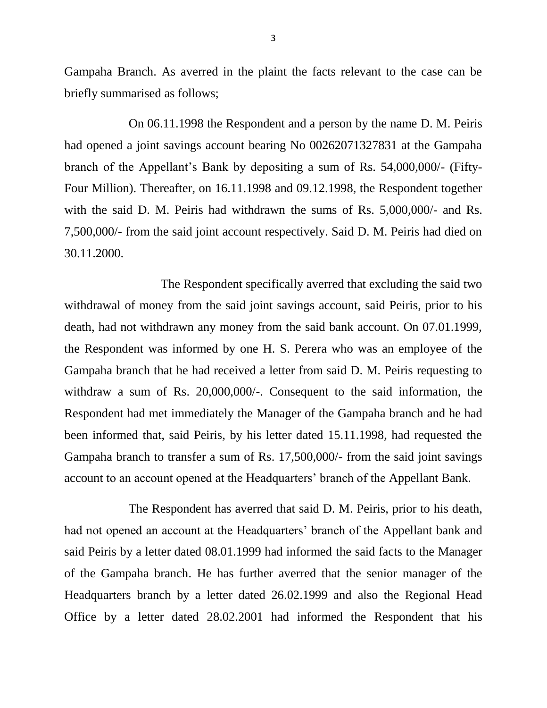Gampaha Branch. As averred in the plaint the facts relevant to the case can be briefly summarised as follows;

On 06.11.1998 the Respondent and a person by the name D. M. Peiris had opened a joint savings account bearing No 00262071327831 at the Gampaha branch of the Appellant's Bank by depositing a sum of Rs. 54,000,000/- (Fifty-Four Million). Thereafter, on 16.11.1998 and 09.12.1998, the Respondent together with the said D. M. Peiris had withdrawn the sums of Rs. 5,000,000/- and Rs. 7,500,000/- from the said joint account respectively. Said D. M. Peiris had died on 30.11.2000.

The Respondent specifically averred that excluding the said two withdrawal of money from the said joint savings account, said Peiris, prior to his death, had not withdrawn any money from the said bank account. On 07.01.1999, the Respondent was informed by one H. S. Perera who was an employee of the Gampaha branch that he had received a letter from said D. M. Peiris requesting to withdraw a sum of Rs. 20,000,000/-. Consequent to the said information, the Respondent had met immediately the Manager of the Gampaha branch and he had been informed that, said Peiris, by his letter dated 15.11.1998, had requested the Gampaha branch to transfer a sum of Rs. 17,500,000/- from the said joint savings account to an account opened at the Headquarters' branch of the Appellant Bank.

The Respondent has averred that said D. M. Peiris, prior to his death, had not opened an account at the Headquarters' branch of the Appellant bank and said Peiris by a letter dated 08.01.1999 had informed the said facts to the Manager of the Gampaha branch. He has further averred that the senior manager of the Headquarters branch by a letter dated 26.02.1999 and also the Regional Head Office by a letter dated 28.02.2001 had informed the Respondent that his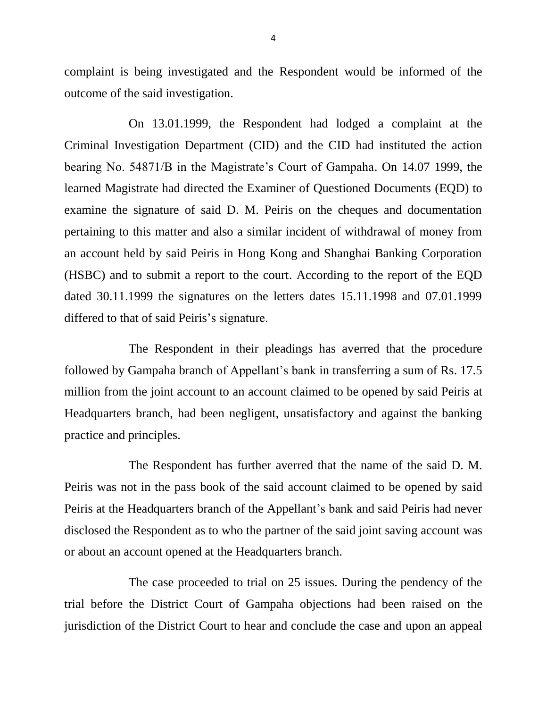complaint is being investigated and the Respondent would be informed of the outcome of the said investigation.

On 13.01.1999, the Respondent had lodged a complaint at the Criminal Investigation Department (CID) and the CID had instituted the action bearing No. 54871/B in the Magistrate's Court of Gampaha. On 14.07 1999, the learned Magistrate had directed the Examiner of Questioned Documents (EQD) to examine the signature of said D. M. Peiris on the cheques and documentation pertaining to this matter and also a similar incident of withdrawal of money from an account held by said Peiris in Hong Kong and Shanghai Banking Corporation (HSBC) and to submit a report to the court. According to the report of the EQD dated 30.11.1999 the signatures on the letters dates 15.11.1998 and 07.01.1999 differed to that of said Peiris's signature.

The Respondent in their pleadings has averred that the procedure followed by Gampaha branch of Appellant's bank in transferring a sum of Rs. 17.5 million from the joint account to an account claimed to be opened by said Peiris at Headquarters branch, had been negligent, unsatisfactory and against the banking practice and principles.

The Respondent has further averred that the name of the said D. M. Peiris was not in the pass book of the said account claimed to be opened by said Peiris at the Headquarters branch of the Appellant's bank and said Peiris had never disclosed the Respondent as to who the partner of the said joint saving account was or about an account opened at the Headquarters branch.

The case proceeded to trial on 25 issues. During the pendency of the trial before the District Court of Gampaha objections had been raised on the jurisdiction of the District Court to hear and conclude the case and upon an appeal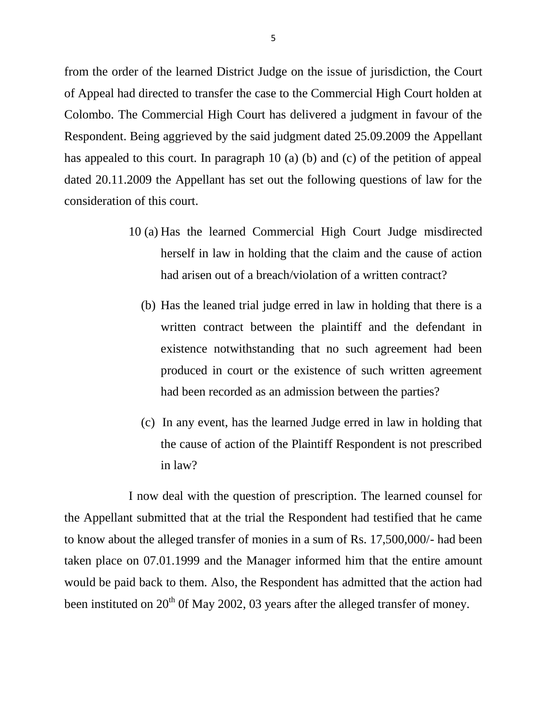from the order of the learned District Judge on the issue of jurisdiction, the Court of Appeal had directed to transfer the case to the Commercial High Court holden at Colombo. The Commercial High Court has delivered a judgment in favour of the Respondent. Being aggrieved by the said judgment dated 25.09.2009 the Appellant has appealed to this court. In paragraph 10 (a) (b) and (c) of the petition of appeal dated 20.11.2009 the Appellant has set out the following questions of law for the consideration of this court.

- 10 (a) Has the learned Commercial High Court Judge misdirected herself in law in holding that the claim and the cause of action had arisen out of a breach/violation of a written contract?
	- (b) Has the leaned trial judge erred in law in holding that there is a written contract between the plaintiff and the defendant in existence notwithstanding that no such agreement had been produced in court or the existence of such written agreement had been recorded as an admission between the parties?
	- (c) In any event, has the learned Judge erred in law in holding that the cause of action of the Plaintiff Respondent is not prescribed in law?

I now deal with the question of prescription. The learned counsel for the Appellant submitted that at the trial the Respondent had testified that he came to know about the alleged transfer of monies in a sum of Rs. 17,500,000/- had been taken place on 07.01.1999 and the Manager informed him that the entire amount would be paid back to them. Also, the Respondent has admitted that the action had been instituted on  $20^{th}$  Of May 2002, 03 years after the alleged transfer of money.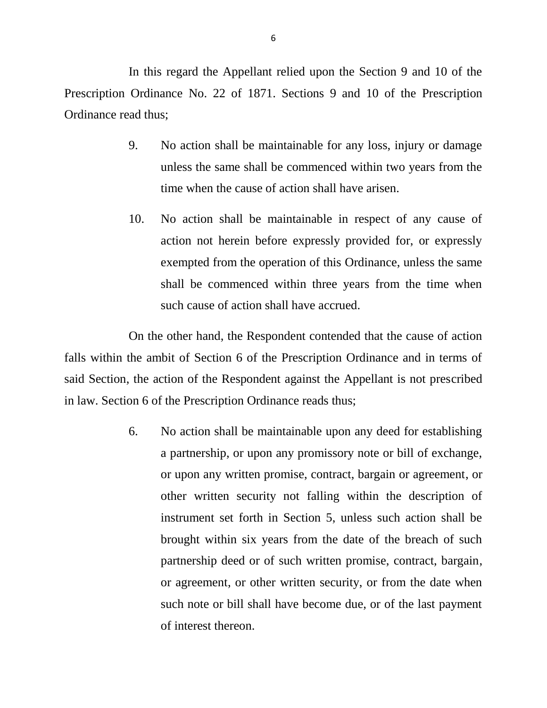In this regard the Appellant relied upon the Section 9 and 10 of the Prescription Ordinance No. 22 of 1871. Sections 9 and 10 of the Prescription Ordinance read thus;

- 9. No action shall be maintainable for any loss, injury or damage unless the same shall be commenced within two years from the time when the cause of action shall have arisen.
- 10. No action shall be maintainable in respect of any cause of action not herein before expressly provided for, or expressly exempted from the operation of this Ordinance, unless the same shall be commenced within three years from the time when such cause of action shall have accrued.

On the other hand, the Respondent contended that the cause of action falls within the ambit of Section 6 of the Prescription Ordinance and in terms of said Section, the action of the Respondent against the Appellant is not prescribed in law. Section 6 of the Prescription Ordinance reads thus;

> 6. No action shall be maintainable upon any deed for establishing a partnership, or upon any promissory note or bill of exchange, or upon any written promise, contract, bargain or agreement, or other written security not falling within the description of instrument set forth in Section 5, unless such action shall be brought within six years from the date of the breach of such partnership deed or of such written promise, contract, bargain, or agreement, or other written security, or from the date when such note or bill shall have become due, or of the last payment of interest thereon.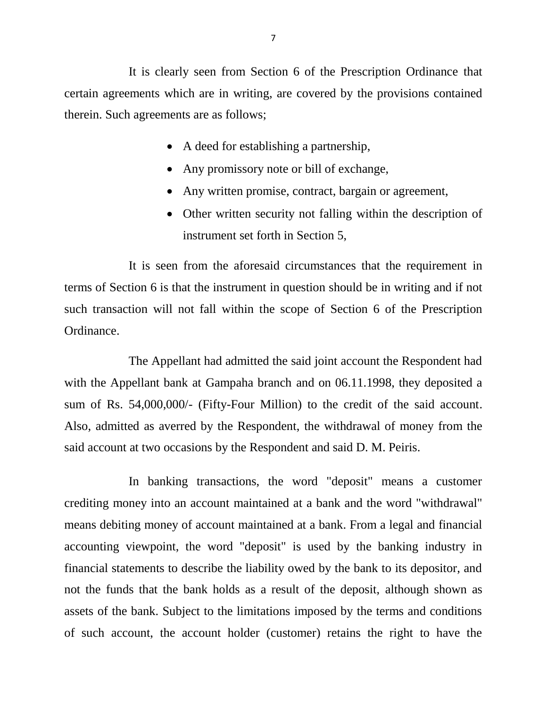It is clearly seen from Section 6 of the Prescription Ordinance that certain agreements which are in writing, are covered by the provisions contained therein. Such agreements are as follows;

- A deed for establishing a partnership,
- Any promissory note or bill of exchange,
- Any written promise, contract, bargain or agreement,
- Other written security not falling within the description of instrument set forth in Section 5,

It is seen from the aforesaid circumstances that the requirement in terms of Section 6 is that the instrument in question should be in writing and if not such transaction will not fall within the scope of Section 6 of the Prescription Ordinance.

The Appellant had admitted the said joint account the Respondent had with the Appellant bank at Gampaha branch and on 06.11.1998, they deposited a sum of Rs. 54,000,000/- (Fifty-Four Million) to the credit of the said account. Also, admitted as averred by the Respondent, the withdrawal of money from the said account at two occasions by the Respondent and said D. M. Peiris.

In banking transactions, the word "deposit" means a customer crediting money into an account maintained at a bank and the word "withdrawal" means debiting money of account maintained at a bank. From a legal and financial accounting viewpoint, the word "deposit" is used by the banking industry in financial statements to describe the liability owed by the bank to its depositor, and not the funds that the bank holds as a result of the deposit, although shown as [assets](https://en.wikipedia.org/wiki/Asset) of the bank. Subject to the limitations imposed by the terms and conditions of such account, the account holder (customer) retains the right to have the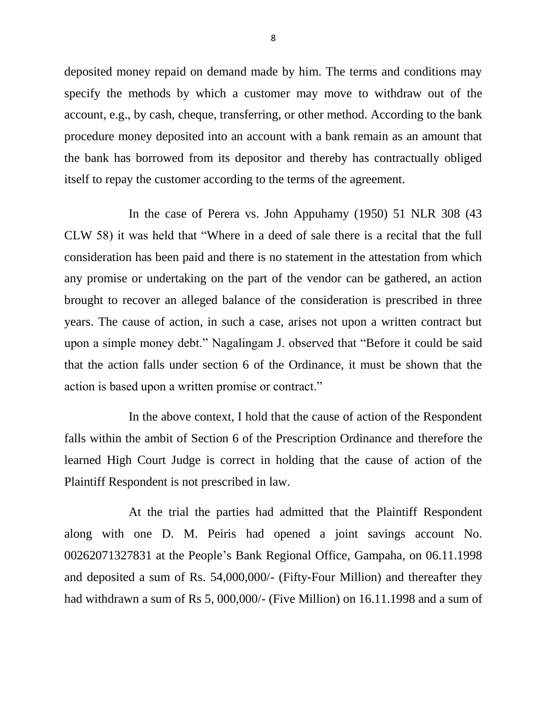deposited money repaid on demand made by him. The terms and conditions may specify the methods by which a customer may move to withdraw out of the account, e.g., by cash, [cheque,](https://en.wikipedia.org/wiki/Cheque) transferring, or other method. According to the bank procedure money deposited into an account with a bank remain as an amount that the bank has borrowed from its depositor and thereby has contractually obliged itself to repay the customer according to the terms of the agreement.

In the case of Perera vs. John Appuhamy (1950) 51 NLR 308 (43 CLW 58) it was held that "Where in a deed of sale there is a recital that the full consideration has been paid and there is no statement in the attestation from which any promise or undertaking on the part of the vendor can be gathered, an action brought to recover an alleged balance of the consideration is prescribed in three years. The cause of action, in such a case, arises not upon a written contract but upon a simple money debt." Nagalingam J. observed that "Before it could be said that the action falls under section 6 of the Ordinance, it must be shown that the action is based upon a written promise or contract."

In the above context, I hold that the cause of action of the Respondent falls within the ambit of Section 6 of the Prescription Ordinance and therefore the learned High Court Judge is correct in holding that the cause of action of the Plaintiff Respondent is not prescribed in law.

At the trial the parties had admitted that the Plaintiff Respondent along with one D. M. Peiris had opened a joint savings account No. 00262071327831 at the People's Bank Regional Office, Gampaha, on 06.11.1998 and deposited a sum of Rs. 54,000,000/- (Fifty-Four Million) and thereafter they had withdrawn a sum of Rs 5, 000,000/- (Five Million) on 16.11.1998 and a sum of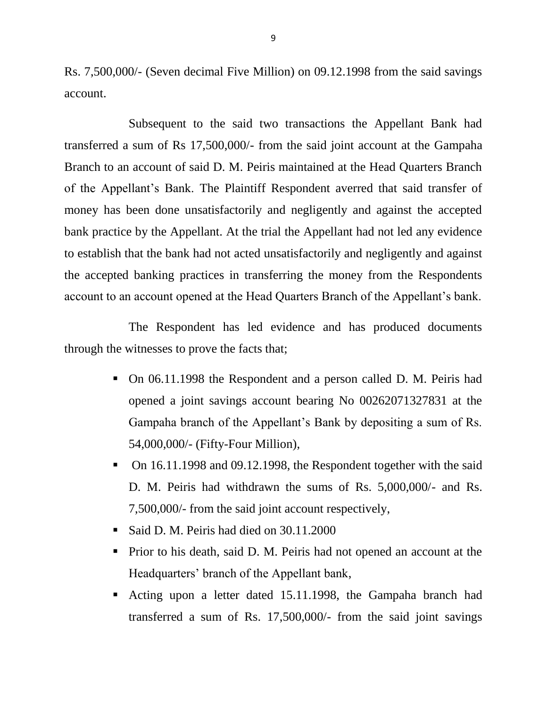Rs. 7,500,000/- (Seven decimal Five Million) on 09.12.1998 from the said savings account.

Subsequent to the said two transactions the Appellant Bank had transferred a sum of Rs 17,500,000/- from the said joint account at the Gampaha Branch to an account of said D. M. Peiris maintained at the Head Quarters Branch of the Appellant's Bank. The Plaintiff Respondent averred that said transfer of money has been done unsatisfactorily and negligently and against the accepted bank practice by the Appellant. At the trial the Appellant had not led any evidence to establish that the bank had not acted unsatisfactorily and negligently and against the accepted banking practices in transferring the money from the Respondents account to an account opened at the Head Quarters Branch of the Appellant's bank.

The Respondent has led evidence and has produced documents through the witnesses to prove the facts that;

- On 06.11.1998 the Respondent and a person called D. M. Peiris had opened a joint savings account bearing No 00262071327831 at the Gampaha branch of the Appellant's Bank by depositing a sum of Rs. 54,000,000/- (Fifty-Four Million),
- On 16.11.1998 and 09.12.1998, the Respondent together with the said D. M. Peiris had withdrawn the sums of Rs. 5,000,000/- and Rs. 7,500,000/- from the said joint account respectively,
- Said D. M. Peiris had died on 30.11.2000
- **Prior to his death, said D. M. Peiris had not opened an account at the** Headquarters' branch of the Appellant bank,
- Acting upon a letter dated 15.11.1998, the Gampaha branch had transferred a sum of Rs. 17,500,000/- from the said joint savings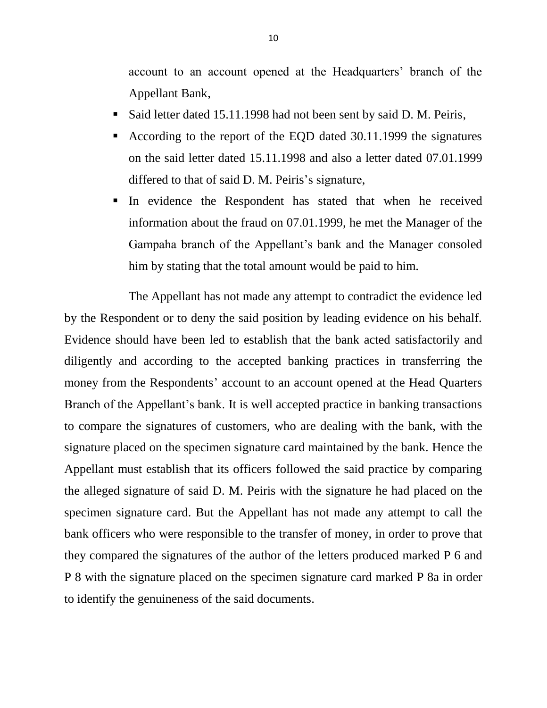account to an account opened at the Headquarters' branch of the Appellant Bank,

- Said letter dated 15.11.1998 had not been sent by said D. M. Peiris,
- According to the report of the EQD dated 30.11.1999 the signatures on the said letter dated 15.11.1998 and also a letter dated 07.01.1999 differed to that of said D. M. Peiris's signature,
- In evidence the Respondent has stated that when he received information about the fraud on 07.01.1999, he met the Manager of the Gampaha branch of the Appellant's bank and the Manager consoled him by stating that the total amount would be paid to him.

The Appellant has not made any attempt to contradict the evidence led by the Respondent or to deny the said position by leading evidence on his behalf. Evidence should have been led to establish that the bank acted satisfactorily and diligently and according to the accepted banking practices in transferring the money from the Respondents' account to an account opened at the Head Quarters Branch of the Appellant's bank. It is well accepted practice in banking transactions to compare the signatures of customers, who are dealing with the bank, with the signature placed on the specimen signature card maintained by the bank. Hence the Appellant must establish that its officers followed the said practice by comparing the alleged signature of said D. M. Peiris with the signature he had placed on the specimen signature card. But the Appellant has not made any attempt to call the bank officers who were responsible to the transfer of money, in order to prove that they compared the signatures of the author of the letters produced marked P 6 and P 8 with the signature placed on the specimen signature card marked P 8a in order to identify the genuineness of the said documents.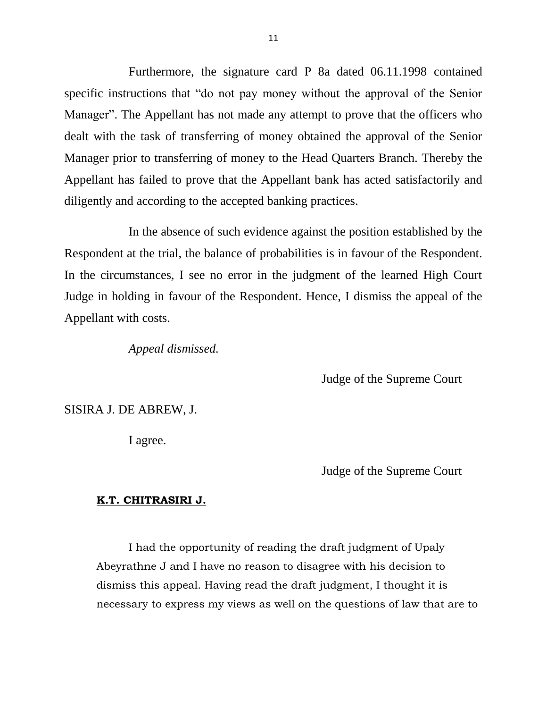Furthermore, the signature card P 8a dated 06.11.1998 contained specific instructions that "do not pay money without the approval of the Senior Manager". The Appellant has not made any attempt to prove that the officers who dealt with the task of transferring of money obtained the approval of the Senior Manager prior to transferring of money to the Head Quarters Branch. Thereby the Appellant has failed to prove that the Appellant bank has acted satisfactorily and diligently and according to the accepted banking practices.

In the absence of such evidence against the position established by the Respondent at the trial, the balance of probabilities is in favour of the Respondent. In the circumstances, I see no error in the judgment of the learned High Court Judge in holding in favour of the Respondent. Hence, I dismiss the appeal of the Appellant with costs.

*Appeal dismissed.*

Judge of the Supreme Court

SISIRA J. DE ABREW, J.

I agree.

Judge of the Supreme Court

#### **K.T. CHITRASIRI J.**

I had the opportunity of reading the draft judgment of Upaly Abeyrathne J and I have no reason to disagree with his decision to dismiss this appeal. Having read the draft judgment, I thought it is necessary to express my views as well on the questions of law that are to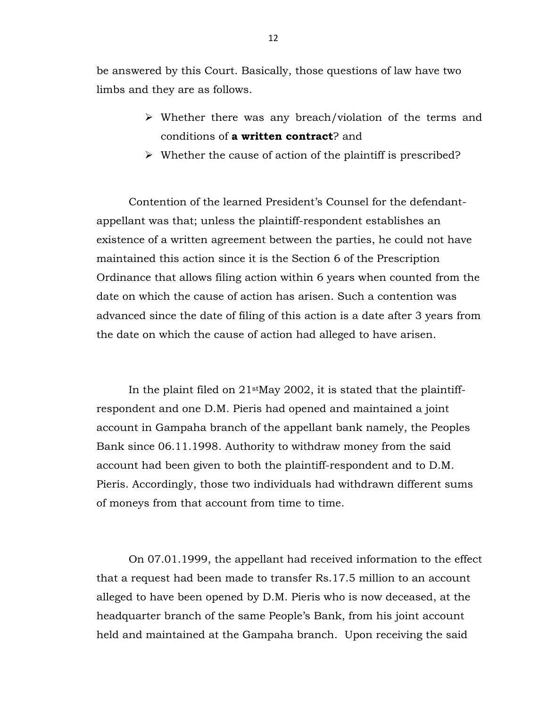be answered by this Court. Basically, those questions of law have two limbs and they are as follows.

- Whether there was any breach/violation of the terms and conditions of **a written contract**? and
- $\triangleright$  Whether the cause of action of the plaintiff is prescribed?

Contention of the learned President's Counsel for the defendantappellant was that; unless the plaintiff-respondent establishes an existence of a written agreement between the parties, he could not have maintained this action since it is the Section 6 of the Prescription Ordinance that allows filing action within 6 years when counted from the date on which the cause of action has arisen. Such a contention was advanced since the date of filing of this action is a date after 3 years from the date on which the cause of action had alleged to have arisen.

In the plaint filed on  $21$ <sup>st</sup>May 2002, it is stated that the plaintiffrespondent and one D.M. Pieris had opened and maintained a joint account in Gampaha branch of the appellant bank namely, the Peoples Bank since 06.11.1998. Authority to withdraw money from the said account had been given to both the plaintiff-respondent and to D.M. Pieris. Accordingly, those two individuals had withdrawn different sums of moneys from that account from time to time.

On 07.01.1999, the appellant had received information to the effect that a request had been made to transfer Rs.17.5 million to an account alleged to have been opened by D.M. Pieris who is now deceased, at the headquarter branch of the same People's Bank, from his joint account held and maintained at the Gampaha branch. Upon receiving the said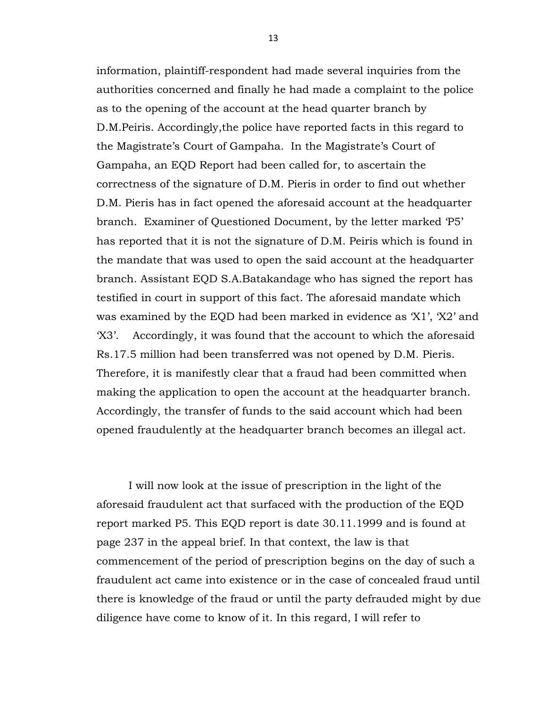information, plaintiff-respondent had made several inquiries from the authorities concerned and finally he had made a complaint to the police as to the opening of the account at the head quarter branch by D.M.Peiris. Accordingly,the police have reported facts in this regard to the Magistrate's Court of Gampaha. In the Magistrate's Court of Gampaha, an EQD Report had been called for, to ascertain the correctness of the signature of D.M. Pieris in order to find out whether D.M. Pieris has in fact opened the aforesaid account at the headquarter branch. Examiner of Questioned Document, by the letter marked 'P5' has reported that it is not the signature of D.M. Peiris which is found in the mandate that was used to open the said account at the headquarter branch. Assistant EQD S.A.Batakandage who has signed the report has testified in court in support of this fact. The aforesaid mandate which was examined by the EQD had been marked in evidence as 'X1', 'X2' and 'X3'. Accordingly, it was found that the account to which the aforesaid Rs.17.5 million had been transferred was not opened by D.M. Pieris. Therefore, it is manifestly clear that a fraud had been committed when making the application to open the account at the headquarter branch. Accordingly, the transfer of funds to the said account which had been opened fraudulently at the headquarter branch becomes an illegal act.

I will now look at the issue of prescription in the light of the aforesaid fraudulent act that surfaced with the production of the EQD report marked P5. This EQD report is date 30.11.1999 and is found at page 237 in the appeal brief. In that context, the law is that commencement of the period of prescription begins on the day of such a fraudulent act came into existence or in the case of concealed fraud until there is knowledge of the fraud or until the party defrauded might by due diligence have come to know of it. In this regard, I will refer to